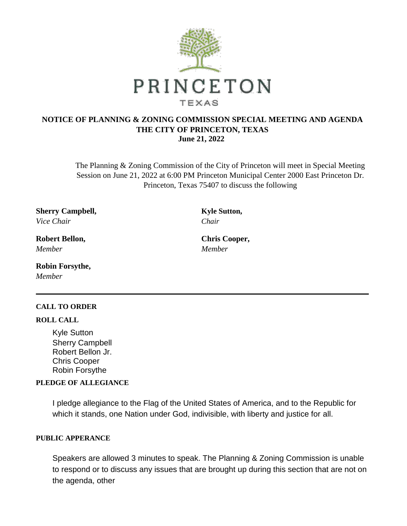

# **NOTICE OF PLANNING & ZONING COMMISSION SPECIAL MEETING AND AGENDA THE CITY OF PRINCETON, TEXAS June 21, 2022**

The Planning & Zoning Commission of the City of Princeton will meet in Special Meeting Session on June 21, 2022 at 6:00 PM Princeton Municipal Center 2000 East Princeton Dr. Princeton, Texas 75407 to discuss the following

**Sherry Campbell, Kyle Sutton,** *Vice Chair Chair*

**Robert Bellon, Chris Cooper,** *Member Member*

**Robin Forsythe,** *Member*

### **CALL TO ORDER**

### **ROLL CALL**

Kyle Sutton Sherry Campbell Robert Bellon Jr. Chris Cooper Robin Forsythe

# **PLEDGE OF ALLEGIANCE**

I pledge allegiance to the Flag of the United States of America, and to the Republic for which it stands, one Nation under God, indivisible, with liberty and justice for all.

## **PUBLIC APPERANCE**

Speakers are allowed 3 minutes to speak. The Planning & Zoning Commission is unable to respond or to discuss any issues that are brought up during this section that are not on the agenda, other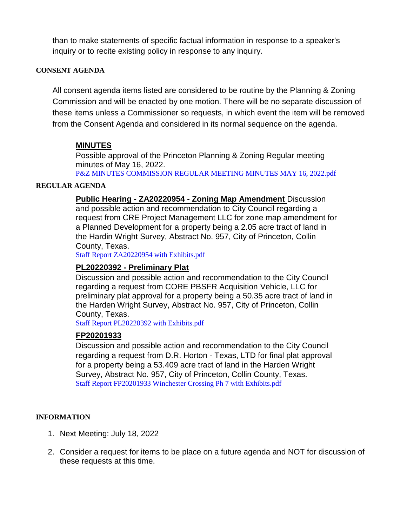than to make statements of specific factual information in response to a speaker's inquiry or to recite existing policy in response to any inquiry.

### **CONSENT AGENDA**

All consent agenda items listed are considered to be routine by the Planning & Zoning Commission and will be enacted by one motion. There will be no separate discussion of these items unless a Commissioner so requests, in which event the item will be removed from the Consent Agenda and considered in its normal sequence on the agenda.

# **MINUTES**

Possible approval of the Princeton Planning & Zoning Regular meeting minutes of May 16, 2022.

[P&Z MINUTES COMMISSION REGULAR MEETING MINUTES MAY 16, 2022.pdf](https://legistarweb-production.s3.amazonaws.com/uploads/attachment/pdf/1432372/P_Z_MINUTES_COMMISSION_REGULAR_MEETING_MINUTES_MAY_16__2022.pdf)

### **REGULAR AGENDA**

**Public Hearing - ZA20220954 - Zoning Map Amendment** Discussion and possible action and recommendation to City Council regarding a request from CRE Project Management LLC for zone map amendment for a Planned Development for a property being a 2.05 acre tract of land in the Hardin Wright Survey, Abstract No. 957, City of Princeton, Collin County, Texas.

[Staff Report ZA20220954 with Exhibits.pdf](https://legistarweb-production.s3.amazonaws.com/uploads/attachment/pdf/1432509/Staff_Report_ZA20220954_with_Exhibits.pdf)

# **PL20220392 - Preliminary Plat**

Discussion and possible action and recommendation to the City Council regarding a request from CORE PBSFR Acquisition Vehicle, LLC for preliminary plat approval for a property being a 50.35 acre tract of land in the Harden Wright Survey, Abstract No. 957, City of Princeton, Collin County, Texas.

[Staff Report PL20220392 with Exhibits.pdf](https://legistarweb-production.s3.amazonaws.com/uploads/attachment/pdf/1433439/Staff_Report_PL20220392_with_Exhibits.pdf)

# **FP20201933**

Discussion and possible action and recommendation to the City Council regarding a request from D.R. Horton - Texas, LTD for final plat approval for a property being a 53.409 acre tract of land in the Harden Wright Survey, Abstract No. 957, City of Princeton, Collin County, Texas. [Staff Report FP20201933 Winchester Crossing Ph 7 with Exhibits.pdf](https://legistarweb-production.s3.amazonaws.com/uploads/attachment/pdf/1433591/Staff_Report_FP20201933_Winchester_Crossing_Ph_7_with_Exhibits.pdf)

### **INFORMATION**

- 1. Next Meeting: July 18, 2022
- 2. Consider a request for items to be place on a future agenda and NOT for discussion of these requests at this time.